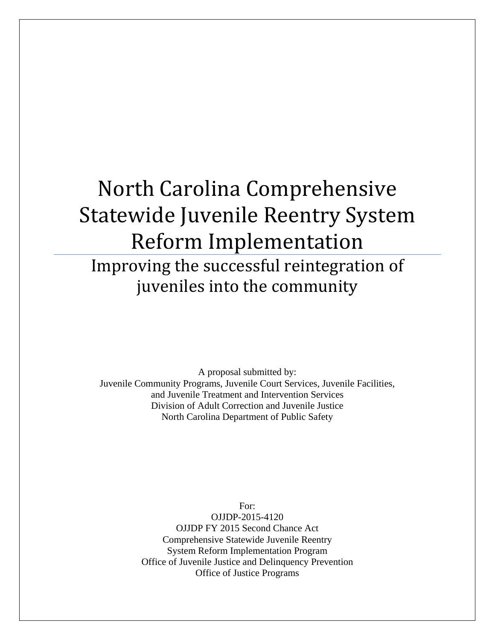# North Carolina Comprehensive Statewide Juvenile Reentry System Reform Implementation

Improving the successful reintegration of juveniles into the community

A proposal submitted by: Juvenile Community Programs, Juvenile Court Services, Juvenile Facilities, and Juvenile Treatment and Intervention Services Division of Adult Correction and Juvenile Justice North Carolina Department of Public Safety

> For: OJJDP-2015-4120 OJJDP FY 2015 Second Chance Act Comprehensive Statewide Juvenile Reentry System Reform Implementation Program Office of Juvenile Justice and Delinquency Prevention Office of Justice Programs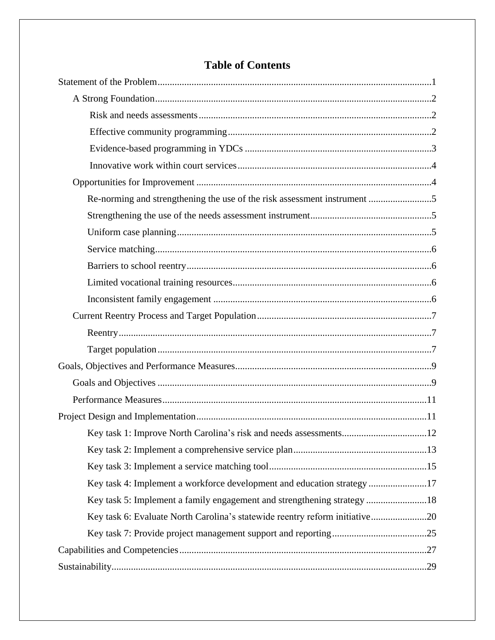| Re-norming and strengthening the use of the risk assessment instrument 5    |
|-----------------------------------------------------------------------------|
|                                                                             |
|                                                                             |
|                                                                             |
|                                                                             |
|                                                                             |
|                                                                             |
|                                                                             |
|                                                                             |
|                                                                             |
|                                                                             |
|                                                                             |
|                                                                             |
|                                                                             |
|                                                                             |
| .12                                                                         |
|                                                                             |
|                                                                             |
| Key task 4: Implement a workforce development and education strategy17      |
| Key task 5: Implement a family engagement and strengthening strategy18      |
| Key task 6: Evaluate North Carolina's statewide reentry reform initiative20 |
|                                                                             |
|                                                                             |

# **Table of Contents**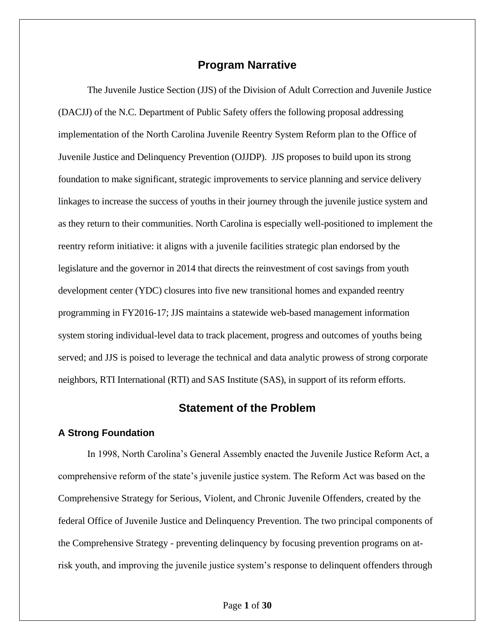### **Program Narrative**

The Juvenile Justice Section (JJS) of the Division of Adult Correction and Juvenile Justice (DACJJ) of the N.C. Department of Public Safety offers the following proposal addressing implementation of the North Carolina Juvenile Reentry System Reform plan to the Office of Juvenile Justice and Delinquency Prevention (OJJDP). JJS proposes to build upon its strong foundation to make significant, strategic improvements to service planning and service delivery linkages to increase the success of youths in their journey through the juvenile justice system and as they return to their communities. North Carolina is especially well-positioned to implement the reentry reform initiative: it aligns with a juvenile facilities strategic plan endorsed by the legislature and the governor in 2014 that directs the reinvestment of cost savings from youth development center (YDC) closures into five new transitional homes and expanded reentry programming in FY2016-17; JJS maintains a statewide web-based management information system storing individual-level data to track placement, progress and outcomes of youths being served; and JJS is poised to leverage the technical and data analytic prowess of strong corporate neighbors, RTI International (RTI) and SAS Institute (SAS), in support of its reform efforts.

#### **Statement of the Problem**

#### **A Strong Foundation**

In 1998, North Carolina's General Assembly enacted the Juvenile Justice Reform Act, a comprehensive reform of the state's juvenile justice system. The Reform Act was based on the Comprehensive Strategy for Serious, Violent, and Chronic Juvenile Offenders, created by the federal Office of Juvenile Justice and Delinquency Prevention. The two principal components of the Comprehensive Strategy - preventing delinquency by focusing prevention programs on atrisk youth, and improving the juvenile justice system's response to delinquent offenders through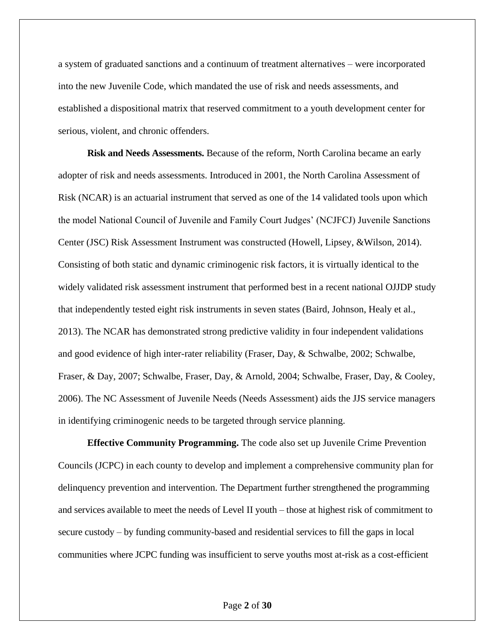a system of graduated sanctions and a continuum of treatment alternatives – were incorporated into the new Juvenile Code, which mandated the use of risk and needs assessments, and established a dispositional matrix that reserved commitment to a youth development center for serious, violent, and chronic offenders.

**Risk and Needs Assessments.** Because of the reform, North Carolina became an early adopter of risk and needs assessments. Introduced in 2001, the North Carolina Assessment of Risk (NCAR) is an actuarial instrument that served as one of the 14 validated tools upon which the model National Council of Juvenile and Family Court Judges' (NCJFCJ) Juvenile Sanctions Center (JSC) Risk Assessment Instrument was constructed (Howell, Lipsey, &Wilson, 2014). Consisting of both static and dynamic criminogenic risk factors, it is virtually identical to the widely validated risk assessment instrument that performed best in a recent national OJJDP study that independently tested eight risk instruments in seven states (Baird, Johnson, Healy et al., 2013). The NCAR has demonstrated strong predictive validity in four independent validations and good evidence of high inter-rater reliability (Fraser, Day, & Schwalbe, 2002; Schwalbe, Fraser, & Day, 2007; Schwalbe, Fraser, Day, & Arnold, 2004; Schwalbe, Fraser, Day, & Cooley, 2006). The NC Assessment of Juvenile Needs (Needs Assessment) aids the JJS service managers in identifying criminogenic needs to be targeted through service planning.

**Effective Community Programming.** The code also set up Juvenile Crime Prevention Councils (JCPC) in each county to develop and implement a comprehensive community plan for delinquency prevention and intervention. The Department further strengthened the programming and services available to meet the needs of Level II youth – those at highest risk of commitment to secure custody – by funding community-based and residential services to fill the gaps in local communities where JCPC funding was insufficient to serve youths most at-risk as a cost-efficient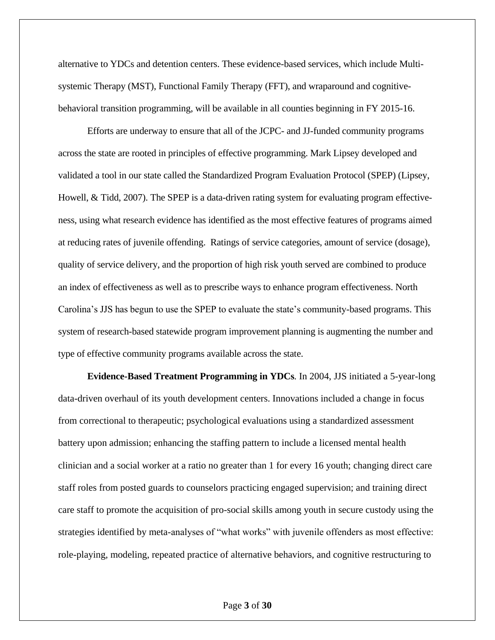alternative to YDCs and detention centers. These evidence-based services, which include Multisystemic Therapy (MST), Functional Family Therapy (FFT), and wraparound and cognitivebehavioral transition programming, will be available in all counties beginning in FY 2015-16.

Efforts are underway to ensure that all of the JCPC- and JJ-funded community programs across the state are rooted in principles of effective programming. Mark Lipsey developed and validated a tool in our state called the Standardized Program Evaluation Protocol (SPEP) (Lipsey, Howell, & Tidd, 2007). The SPEP is a data-driven rating system for evaluating program effectiveness, using what research evidence has identified as the most effective features of programs aimed at reducing rates of juvenile offending. Ratings of service categories, amount of service (dosage), quality of service delivery, and the proportion of high risk youth served are combined to produce an index of effectiveness as well as to prescribe ways to enhance program effectiveness. North Carolina's JJS has begun to use the SPEP to evaluate the state's community-based programs. This system of research-based statewide program improvement planning is augmenting the number and type of effective community programs available across the state.

**Evidence-Based Treatment Programming in YDCs***.* In 2004, JJS initiated a 5-year-long data-driven overhaul of its youth development centers. Innovations included a change in focus from correctional to therapeutic; psychological evaluations using a standardized assessment battery upon admission; enhancing the staffing pattern to include a licensed mental health clinician and a social worker at a ratio no greater than 1 for every 16 youth; changing direct care staff roles from posted guards to counselors practicing engaged supervision; and training direct care staff to promote the acquisition of pro-social skills among youth in secure custody using the strategies identified by meta-analyses of "what works" with juvenile offenders as most effective: role-playing, modeling, repeated practice of alternative behaviors, and cognitive restructuring to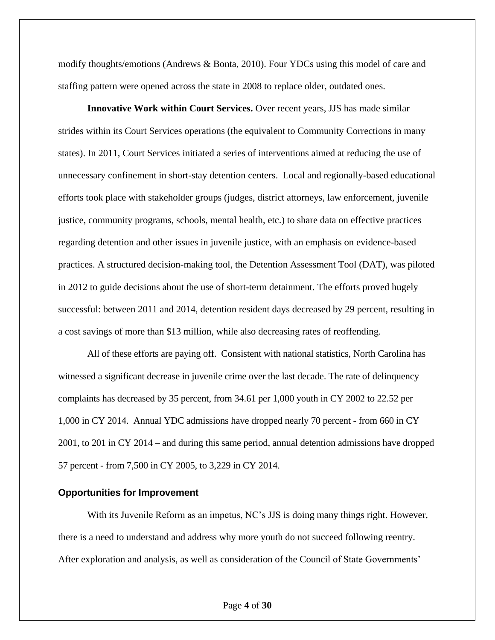modify thoughts/emotions (Andrews & Bonta, 2010). Four YDCs using this model of care and staffing pattern were opened across the state in 2008 to replace older, outdated ones.

**Innovative Work within Court Services.** Over recent years, JJS has made similar strides within its Court Services operations (the equivalent to Community Corrections in many states). In 2011, Court Services initiated a series of interventions aimed at reducing the use of unnecessary confinement in short-stay detention centers. Local and regionally-based educational efforts took place with stakeholder groups (judges, district attorneys, law enforcement, juvenile justice, community programs, schools, mental health, etc.) to share data on effective practices regarding detention and other issues in juvenile justice, with an emphasis on evidence-based practices. A structured decision-making tool, the Detention Assessment Tool (DAT), was piloted in 2012 to guide decisions about the use of short-term detainment. The efforts proved hugely successful: between 2011 and 2014, detention resident days decreased by 29 percent, resulting in a cost savings of more than \$13 million, while also decreasing rates of reoffending.

All of these efforts are paying off. Consistent with national statistics, North Carolina has witnessed a significant decrease in juvenile crime over the last decade. The rate of delinquency complaints has decreased by 35 percent, from 34.61 per 1,000 youth in CY 2002 to 22.52 per 1,000 in CY 2014. Annual YDC admissions have dropped nearly 70 percent - from 660 in CY 2001, to 201 in CY 2014 – and during this same period, annual detention admissions have dropped 57 percent - from 7,500 in CY 2005, to 3,229 in CY 2014.

#### **Opportunities for Improvement**

With its Juvenile Reform as an impetus, NC's JJS is doing many things right. However, there is a need to understand and address why more youth do not succeed following reentry. After exploration and analysis, as well as consideration of the Council of State Governments'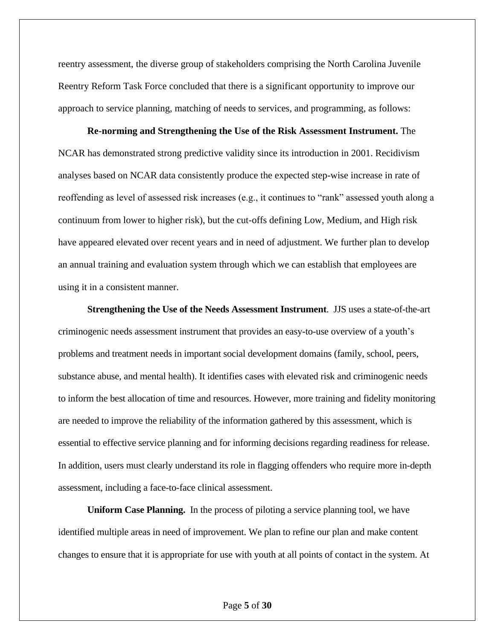reentry assessment, the diverse group of stakeholders comprising the North Carolina Juvenile Reentry Reform Task Force concluded that there is a significant opportunity to improve our approach to service planning, matching of needs to services, and programming, as follows:

**Re-norming and Strengthening the Use of the Risk Assessment Instrument.** The NCAR has demonstrated strong predictive validity since its introduction in 2001. Recidivism analyses based on NCAR data consistently produce the expected step-wise increase in rate of reoffending as level of assessed risk increases (e.g., it continues to "rank" assessed youth along a continuum from lower to higher risk), but the cut-offs defining Low, Medium, and High risk have appeared elevated over recent years and in need of adjustment. We further plan to develop an annual training and evaluation system through which we can establish that employees are using it in a consistent manner.

**Strengthening the Use of the Needs Assessment Instrument**. JJS uses a state-of-the-art criminogenic needs assessment instrument that provides an easy-to-use overview of a youth's problems and treatment needs in important social development domains (family, school, peers, substance abuse, and mental health). It identifies cases with elevated risk and criminogenic needs to inform the best allocation of time and resources. However, more training and fidelity monitoring are needed to improve the reliability of the information gathered by this assessment, which is essential to effective service planning and for informing decisions regarding readiness for release. In addition, users must clearly understand its role in flagging offenders who require more in-depth assessment, including a face-to-face clinical assessment.

**Uniform Case Planning.** In the process of piloting a service planning tool, we have identified multiple areas in need of improvement. We plan to refine our plan and make content changes to ensure that it is appropriate for use with youth at all points of contact in the system. At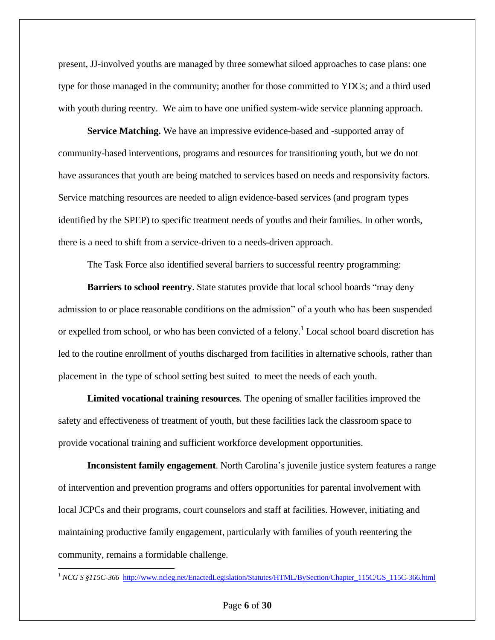present, JJ-involved youths are managed by three somewhat siloed approaches to case plans: one type for those managed in the community; another for those committed to YDCs; and a third used with youth during reentry. We aim to have one unified system-wide service planning approach.

**Service Matching.** We have an impressive evidence-based and -supported array of community-based interventions, programs and resources for transitioning youth, but we do not have assurances that youth are being matched to services based on needs and responsivity factors. Service matching resources are needed to align evidence-based services (and program types identified by the SPEP) to specific treatment needs of youths and their families. In other words, there is a need to shift from a service-driven to a needs-driven approach.

The Task Force also identified several barriers to successful reentry programming:

**Barriers to school reentry**. State statutes provide that local school boards "may deny admission to or place reasonable conditions on the admission" of a youth who has been suspended or expelled from school, or who has been convicted of a felony.<sup>1</sup> Local school board discretion has led to the routine enrollment of youths discharged from facilities in alternative schools, rather than placement in the type of school setting best suited to meet the needs of each youth.

**Limited vocational training resources***.* The opening of smaller facilities improved the safety and effectiveness of treatment of youth, but these facilities lack the classroom space to provide vocational training and sufficient workforce development opportunities.

**Inconsistent family engagement**. North Carolina's juvenile justice system features a range of intervention and prevention programs and offers opportunities for parental involvement with local JCPCs and their programs, court counselors and staff at facilities. However, initiating and maintaining productive family engagement, particularly with families of youth reentering the community, remains a formidable challenge.

 $\overline{a}$ 

<sup>1</sup> *NCG S §115C-366* [http://www.ncleg.net/EnactedLegislation/Statutes/HTML/BySection/Chapter\\_115C/GS\\_115C-366.html](http://www.ncleg.net/EnactedLegislation/Statutes/HTML/BySection/Chapter_115C/GS_115C-366.html)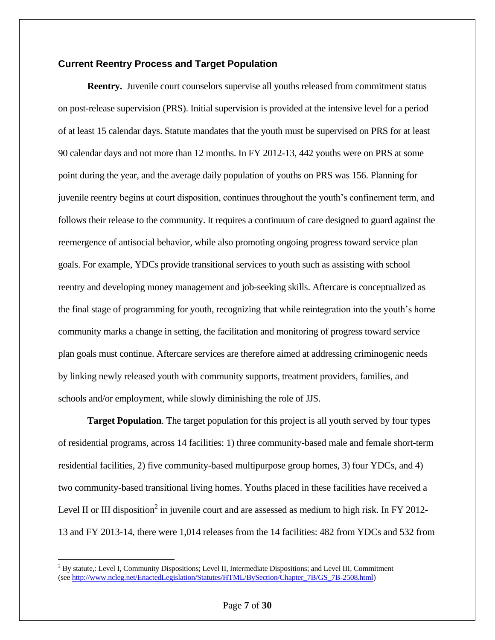#### **Current Reentry Process and Target Population**

**Reentry.** Juvenile court counselors supervise all youths released from commitment status on post-release supervision (PRS). Initial supervision is provided at the intensive level for a period of at least 15 calendar days. Statute mandates that the youth must be supervised on PRS for at least 90 calendar days and not more than 12 months. In FY 2012-13, 442 youths were on PRS at some point during the year, and the average daily population of youths on PRS was 156. Planning for juvenile reentry begins at court disposition, continues throughout the youth's confinement term, and follows their release to the community. It requires a continuum of care designed to guard against the reemergence of antisocial behavior, while also promoting ongoing progress toward service plan goals. For example, YDCs provide transitional services to youth such as assisting with school reentry and developing money management and job-seeking skills. Aftercare is conceptualized as the final stage of programming for youth, recognizing that while reintegration into the youth's home community marks a change in setting, the facilitation and monitoring of progress toward service plan goals must continue. Aftercare services are therefore aimed at addressing criminogenic needs by linking newly released youth with community supports, treatment providers, families, and schools and/or employment, while slowly diminishing the role of JJS.

**Target Population**. The target population for this project is all youth served by four types of residential programs, across 14 facilities: 1) three community-based male and female short-term residential facilities, 2) five community-based multipurpose group homes, 3) four YDCs, and 4) two community-based transitional living homes. Youths placed in these facilities have received a Level II or III disposition<sup>2</sup> in juvenile court and are assessed as medium to high risk. In FY 2012-13 and FY 2013-14, there were 1,014 releases from the 14 facilities: 482 from YDCs and 532 from

 $\overline{a}$ 

 $2^{2}$  By statute,: Level I, Community Dispositions; Level II, Intermediate Dispositions; and Level III, Commitment (see [http://www.ncleg.net/EnactedLegislation/Statutes/HTML/BySection/Chapter\\_7B/GS\\_7B-2508.html\)](http://www.ncleg.net/EnactedLegislation/Statutes/HTML/BySection/Chapter_7B/GS_7B-2508.html)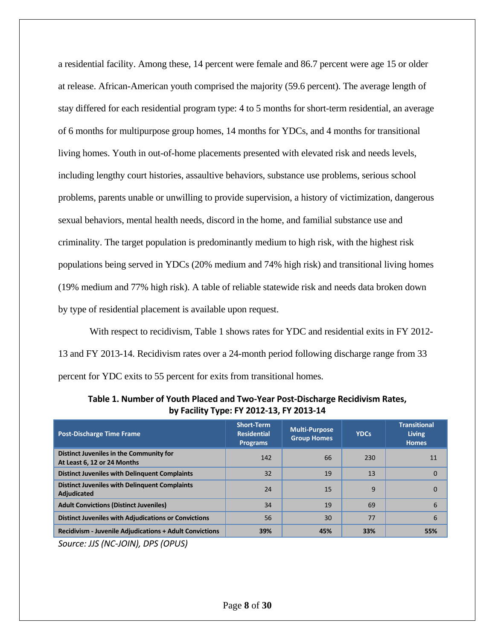a residential facility. Among these, 14 percent were female and 86.7 percent were age 15 or older at release. African-American youth comprised the majority (59.6 percent). The average length of stay differed for each residential program type: 4 to 5 months for short-term residential, an average of 6 months for multipurpose group homes, 14 months for YDCs, and 4 months for transitional living homes. Youth in out-of-home placements presented with elevated risk and needs levels, including lengthy court histories, assaultive behaviors, substance use problems, serious school problems, parents unable or unwilling to provide supervision, a history of victimization, dangerous sexual behaviors, mental health needs, discord in the home, and familial substance use and criminality. The target population is predominantly medium to high risk, with the highest risk populations being served in YDCs (20% medium and 74% high risk) and transitional living homes (19% medium and 77% high risk). A table of reliable statewide risk and needs data broken down by type of residential placement is available upon request.

With respect to recidivism, Table 1 shows rates for YDC and residential exits in FY 2012- 13 and FY 2013-14. Recidivism rates over a 24-month period following discharge range from 33 percent for YDC exits to 55 percent for exits from transitional homes.

| <b>Post-Discharge Time Frame</b>                                           | <b>Short-Term</b><br><b>Residential</b><br><b>Programs</b> | <b>Multi-Purpose</b><br><b>Group Homes</b> | <b>YDCs</b>  | <b>Transitional</b><br><b>Living</b><br><b>Homes</b> |
|----------------------------------------------------------------------------|------------------------------------------------------------|--------------------------------------------|--------------|------------------------------------------------------|
| Distinct Juveniles in the Community for<br>At Least 6, 12 or 24 Months     | 142                                                        | 66                                         | 230          | 11                                                   |
| <b>Distinct Juveniles with Delinguent Complaints</b>                       | 32                                                         | 19                                         | 13           | $\Omega$                                             |
| <b>Distinct Juveniles with Delinguent Complaints</b><br><b>Adjudicated</b> | 24                                                         | 15                                         | $\mathbf{q}$ | $\Omega$                                             |
| <b>Adult Convictions (Distinct Juveniles)</b>                              | 34                                                         | 19                                         | 69           | 6                                                    |
| <b>Distinct Juveniles with Adjudications or Convictions</b>                | 56                                                         | 30                                         | 77           | 6                                                    |
| <b>Recidivism - Juvenile Adjudications + Adult Convictions</b>             | 39%                                                        | 45%                                        | 33%          | 55%                                                  |

**Table 1. Number of Youth Placed and Two-Year Post-Discharge Recidivism Rates, by Facility Type: FY 2012-13, FY 2013-14**

*Source: JJS (NC-JOIN), DPS (OPUS)*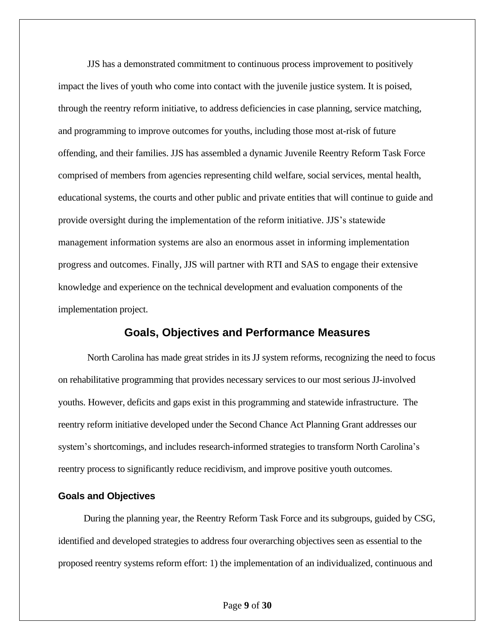JJS has a demonstrated commitment to continuous process improvement to positively impact the lives of youth who come into contact with the juvenile justice system. It is poised, through the reentry reform initiative, to address deficiencies in case planning, service matching, and programming to improve outcomes for youths, including those most at-risk of future offending, and their families. JJS has assembled a dynamic Juvenile Reentry Reform Task Force comprised of members from agencies representing child welfare, social services, mental health, educational systems, the courts and other public and private entities that will continue to guide and provide oversight during the implementation of the reform initiative. JJS's statewide management information systems are also an enormous asset in informing implementation progress and outcomes. Finally, JJS will partner with RTI and SAS to engage their extensive knowledge and experience on the technical development and evaluation components of the implementation project.

#### **Goals, Objectives and Performance Measures**

North Carolina has made great strides in its JJ system reforms, recognizing the need to focus on rehabilitative programming that provides necessary services to our most serious JJ-involved youths. However, deficits and gaps exist in this programming and statewide infrastructure. The reentry reform initiative developed under the Second Chance Act Planning Grant addresses our system's shortcomings, and includes research-informed strategies to transform North Carolina's reentry process to significantly reduce recidivism, and improve positive youth outcomes.

#### **Goals and Objectives**

During the planning year, the Reentry Reform Task Force and its subgroups, guided by CSG, identified and developed strategies to address four overarching objectives seen as essential to the proposed reentry systems reform effort: 1) the implementation of an individualized, continuous and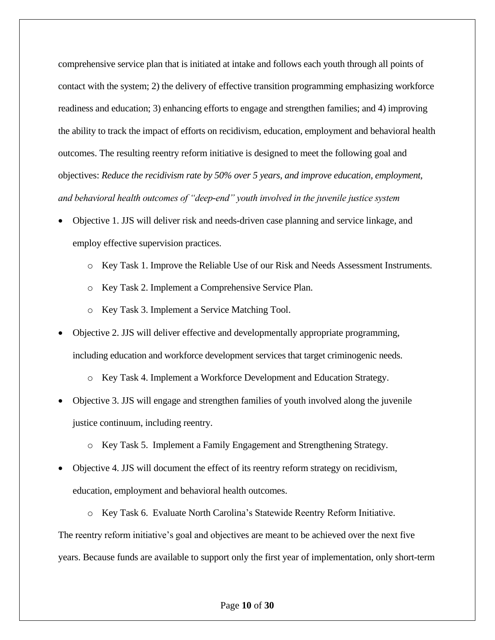comprehensive service plan that is initiated at intake and follows each youth through all points of contact with the system; 2) the delivery of effective transition programming emphasizing workforce readiness and education; 3) enhancing efforts to engage and strengthen families; and 4) improving the ability to track the impact of efforts on recidivism, education, employment and behavioral health outcomes. The resulting reentry reform initiative is designed to meet the following goal and objectives: *Reduce the recidivism rate by 50% over 5 years, and improve education, employment, and behavioral health outcomes of "deep-end" youth involved in the juvenile justice system* 

- Objective 1. JJS will deliver risk and needs-driven case planning and service linkage, and employ effective supervision practices.
	- o Key Task 1. Improve the Reliable Use of our Risk and Needs Assessment Instruments.
	- o Key Task 2. Implement a Comprehensive Service Plan.
	- o Key Task 3. Implement a Service Matching Tool.
- Objective 2. JJS will deliver effective and developmentally appropriate programming, including education and workforce development services that target criminogenic needs.
	- o Key Task 4. Implement a Workforce Development and Education Strategy.
- Objective 3. JJS will engage and strengthen families of youth involved along the juvenile justice continuum, including reentry.
	- o Key Task 5. Implement a Family Engagement and Strengthening Strategy.
- Objective 4. JJS will document the effect of its reentry reform strategy on recidivism, education, employment and behavioral health outcomes.
- o Key Task 6. Evaluate North Carolina's Statewide Reentry Reform Initiative. The reentry reform initiative's goal and objectives are meant to be achieved over the next five years. Because funds are available to support only the first year of implementation, only short-term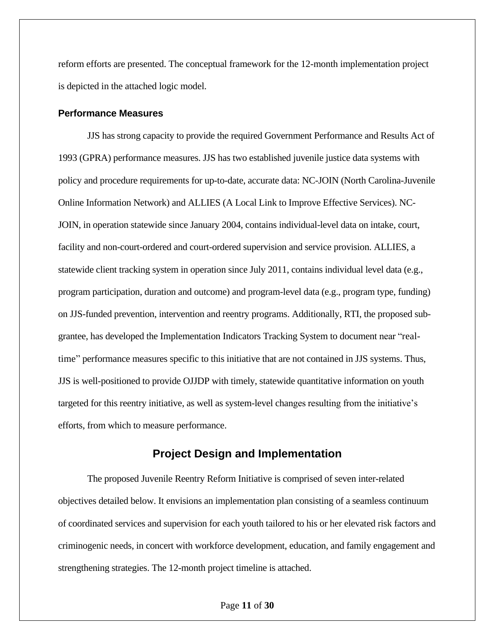reform efforts are presented. The conceptual framework for the 12-month implementation project is depicted in the attached logic model.

#### **Performance Measures**

JJS has strong capacity to provide the required Government Performance and Results Act of 1993 (GPRA) performance measures. JJS has two established juvenile justice data systems with policy and procedure requirements for up-to-date, accurate data: NC-JOIN (North Carolina-Juvenile Online Information Network) and ALLIES (A Local Link to Improve Effective Services). NC-JOIN, in operation statewide since January 2004, contains individual-level data on intake, court, facility and non-court-ordered and court-ordered supervision and service provision. ALLIES, a statewide client tracking system in operation since July 2011, contains individual level data (e.g., program participation, duration and outcome) and program-level data (e.g., program type, funding) on JJS-funded prevention, intervention and reentry programs. Additionally, RTI, the proposed subgrantee, has developed the Implementation Indicators Tracking System to document near "realtime" performance measures specific to this initiative that are not contained in JJS systems. Thus, JJS is well-positioned to provide OJJDP with timely, statewide quantitative information on youth targeted for this reentry initiative, as well as system-level changes resulting from the initiative's efforts, from which to measure performance.

#### **Project Design and Implementation**

The proposed Juvenile Reentry Reform Initiative is comprised of seven inter-related objectives detailed below. It envisions an implementation plan consisting of a seamless continuum of coordinated services and supervision for each youth tailored to his or her elevated risk factors and criminogenic needs, in concert with workforce development, education, and family engagement and strengthening strategies. The 12-month project timeline is attached.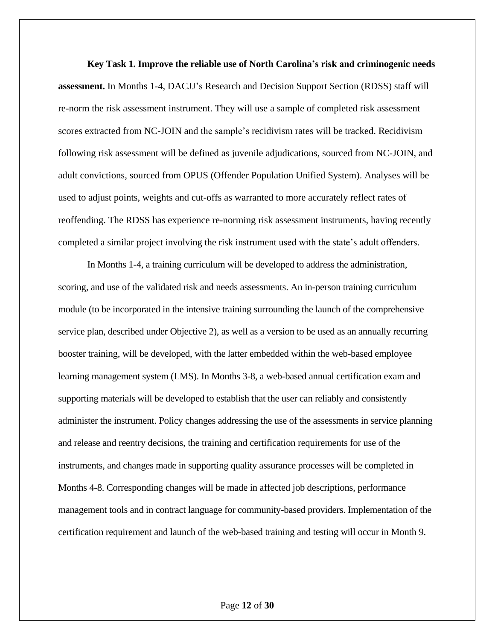**Key Task 1. Improve the reliable use of North Carolina's risk and criminogenic needs assessment.** In Months 1-4, DACJJ's Research and Decision Support Section (RDSS) staff will re-norm the risk assessment instrument. They will use a sample of completed risk assessment scores extracted from NC-JOIN and the sample's recidivism rates will be tracked. Recidivism following risk assessment will be defined as juvenile adjudications, sourced from NC-JOIN, and adult convictions, sourced from OPUS (Offender Population Unified System). Analyses will be used to adjust points, weights and cut-offs as warranted to more accurately reflect rates of reoffending. The RDSS has experience re-norming risk assessment instruments, having recently completed a similar project involving the risk instrument used with the state's adult offenders.

In Months 1-4, a training curriculum will be developed to address the administration, scoring, and use of the validated risk and needs assessments. An in-person training curriculum module (to be incorporated in the intensive training surrounding the launch of the comprehensive service plan, described under Objective 2), as well as a version to be used as an annually recurring booster training, will be developed, with the latter embedded within the web-based employee learning management system (LMS). In Months 3-8, a web-based annual certification exam and supporting materials will be developed to establish that the user can reliably and consistently administer the instrument. Policy changes addressing the use of the assessments in service planning and release and reentry decisions, the training and certification requirements for use of the instruments, and changes made in supporting quality assurance processes will be completed in Months 4-8. Corresponding changes will be made in affected job descriptions, performance management tools and in contract language for community-based providers. Implementation of the certification requirement and launch of the web-based training and testing will occur in Month 9.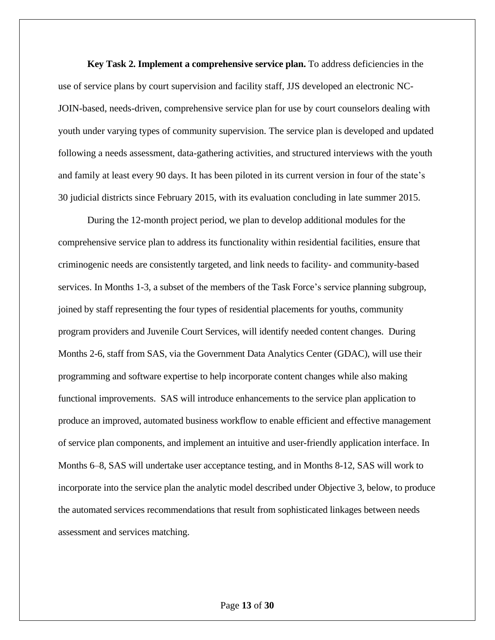**Key Task 2. Implement a comprehensive service plan.** To address deficiencies in the use of service plans by court supervision and facility staff, JJS developed an electronic NC-JOIN-based, needs-driven, comprehensive service plan for use by court counselors dealing with youth under varying types of community supervision. The service plan is developed and updated following a needs assessment, data-gathering activities, and structured interviews with the youth and family at least every 90 days. It has been piloted in its current version in four of the state's 30 judicial districts since February 2015, with its evaluation concluding in late summer 2015.

During the 12-month project period, we plan to develop additional modules for the comprehensive service plan to address its functionality within residential facilities, ensure that criminogenic needs are consistently targeted, and link needs to facility- and community-based services. In Months 1-3, a subset of the members of the Task Force's service planning subgroup, joined by staff representing the four types of residential placements for youths, community program providers and Juvenile Court Services, will identify needed content changes. During Months 2-6, staff from SAS, via the Government Data Analytics Center (GDAC), will use their programming and software expertise to help incorporate content changes while also making functional improvements. SAS will introduce enhancements to the service plan application to produce an improved, automated business workflow to enable efficient and effective management of service plan components, and implement an intuitive and user-friendly application interface. In Months 6–8, SAS will undertake user acceptance testing, and in Months 8-12, SAS will work to incorporate into the service plan the analytic model described under Objective 3, below, to produce the automated services recommendations that result from sophisticated linkages between needs assessment and services matching.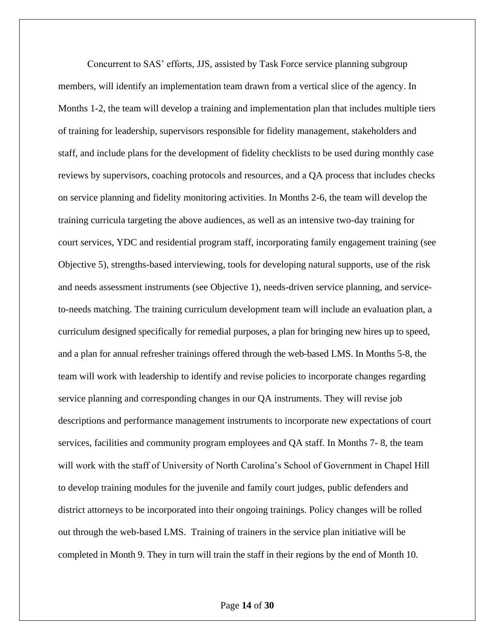Concurrent to SAS' efforts, JJS, assisted by Task Force service planning subgroup members, will identify an implementation team drawn from a vertical slice of the agency. In Months 1-2, the team will develop a training and implementation plan that includes multiple tiers of training for leadership, supervisors responsible for fidelity management, stakeholders and staff, and include plans for the development of fidelity checklists to be used during monthly case reviews by supervisors, coaching protocols and resources, and a QA process that includes checks on service planning and fidelity monitoring activities. In Months 2-6, the team will develop the training curricula targeting the above audiences, as well as an intensive two-day training for court services, YDC and residential program staff, incorporating family engagement training (see Objective 5), strengths-based interviewing, tools for developing natural supports, use of the risk and needs assessment instruments (see Objective 1), needs-driven service planning, and serviceto-needs matching. The training curriculum development team will include an evaluation plan, a curriculum designed specifically for remedial purposes, a plan for bringing new hires up to speed, and a plan for annual refresher trainings offered through the web-based LMS. In Months 5-8, the team will work with leadership to identify and revise policies to incorporate changes regarding service planning and corresponding changes in our QA instruments. They will revise job descriptions and performance management instruments to incorporate new expectations of court services, facilities and community program employees and QA staff. In Months 7- 8, the team will work with the staff of University of North Carolina's School of Government in Chapel Hill to develop training modules for the juvenile and family court judges, public defenders and district attorneys to be incorporated into their ongoing trainings. Policy changes will be rolled out through the web-based LMS. Training of trainers in the service plan initiative will be completed in Month 9. They in turn will train the staff in their regions by the end of Month 10.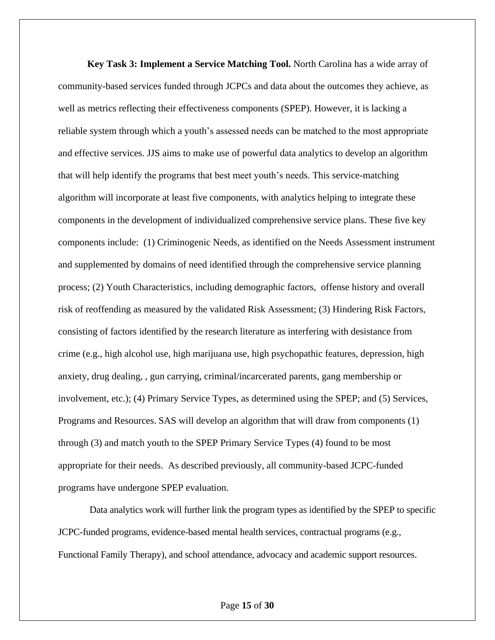**Key Task 3: Implement a Service Matching Tool.** North Carolina has a wide array of community-based services funded through JCPCs and data about the outcomes they achieve, as well as metrics reflecting their effectiveness components (SPEP). However, it is lacking a reliable system through which a youth's assessed needs can be matched to the most appropriate and effective services. JJS aims to make use of powerful data analytics to develop an algorithm that will help identify the programs that best meet youth's needs. This service-matching algorithm will incorporate at least five components, with analytics helping to integrate these components in the development of individualized comprehensive service plans. These five key components include: (1) Criminogenic Needs, as identified on the Needs Assessment instrument and supplemented by domains of need identified through the comprehensive service planning process; (2) Youth Characteristics, including demographic factors, offense history and overall risk of reoffending as measured by the validated Risk Assessment; (3) Hindering Risk Factors, consisting of factors identified by the research literature as interfering with desistance from crime (e.g., high alcohol use, high marijuana use, high psychopathic features, depression, high anxiety, drug dealing, , gun carrying, criminal/incarcerated parents, gang membership or involvement, etc.); (4) Primary Service Types, as determined using the SPEP; and (5) Services, Programs and Resources. SAS will develop an algorithm that will draw from components (1) through (3) and match youth to the SPEP Primary Service Types (4) found to be most appropriate for their needs. As described previously, all community-based JCPC-funded programs have undergone SPEP evaluation.

Data analytics work will further link the program types as identified by the SPEP to specific JCPC-funded programs, evidence-based mental health services, contractual programs (e.g., Functional Family Therapy), and school attendance, advocacy and academic support resources.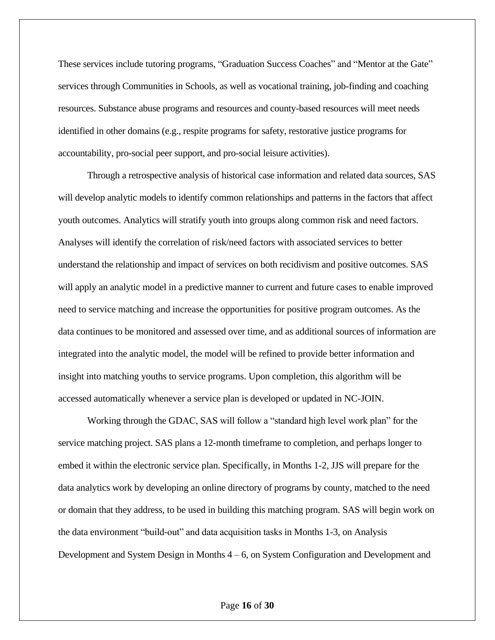These services include tutoring programs, "Graduation Success Coaches" and "Mentor at the Gate" services through Communities in Schools, as well as vocational training, job-finding and coaching resources. Substance abuse programs and resources and county-based resources will meet needs identified in other domains (e.g., respite programs for safety, restorative justice programs for accountability, pro-social peer support, and pro-social leisure activities).

Through a retrospective analysis of historical case information and related data sources, SAS will develop analytic models to identify common relationships and patterns in the factors that affect youth outcomes. Analytics will stratify youth into groups along common risk and need factors. Analyses will identify the correlation of risk/need factors with associated services to better understand the relationship and impact of services on both recidivism and positive outcomes. SAS will apply an analytic model in a predictive manner to current and future cases to enable improved need to service matching and increase the opportunities for positive program outcomes. As the data continues to be monitored and assessed over time, and as additional sources of information are integrated into the analytic model, the model will be refined to provide better information and insight into matching youths to service programs. Upon completion, this algorithm will be accessed automatically whenever a service plan is developed or updated in NC-JOIN.

Working through the GDAC, SAS will follow a "standard high level work plan" for the service matching project. SAS plans a 12-month timeframe to completion, and perhaps longer to embed it within the electronic service plan. Specifically, in Months 1-2, JJS will prepare for the data analytics work by developing an online directory of programs by county, matched to the need or domain that they address, to be used in building this matching program. SAS will begin work on the data environment "build-out" and data acquisition tasks in Months 1-3, on Analysis Development and System Design in Months 4 – 6, on System Configuration and Development and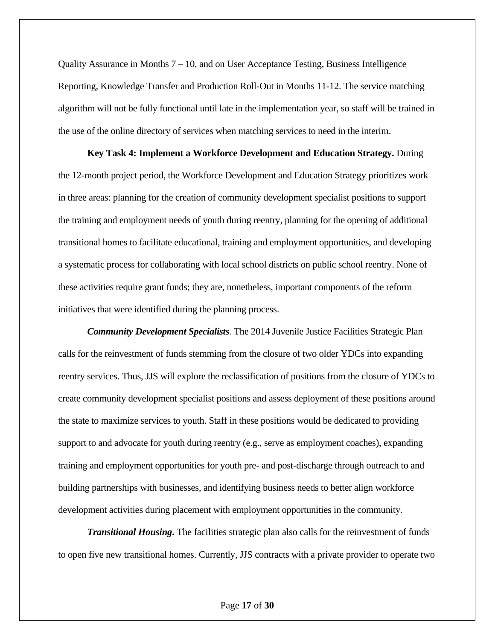Quality Assurance in Months 7 – 10, and on User Acceptance Testing, Business Intelligence Reporting, Knowledge Transfer and Production Roll-Out in Months 11-12. The service matching algorithm will not be fully functional until late in the implementation year, so staff will be trained in the use of the online directory of services when matching services to need in the interim.

**Key Task 4: Implement a Workforce Development and Education Strategy.** During the 12-month project period, the Workforce Development and Education Strategy prioritizes work in three areas: planning for the creation of community development specialist positions to support the training and employment needs of youth during reentry, planning for the opening of additional transitional homes to facilitate educational, training and employment opportunities, and developing a systematic process for collaborating with local school districts on public school reentry. None of these activities require grant funds; they are, nonetheless, important components of the reform initiatives that were identified during the planning process.

*Community Development Specialists.* The 2014 Juvenile Justice Facilities Strategic Plan calls for the reinvestment of funds stemming from the closure of two older YDCs into expanding reentry services. Thus, JJS will explore the reclassification of positions from the closure of YDCs to create community development specialist positions and assess deployment of these positions around the state to maximize services to youth. Staff in these positions would be dedicated to providing support to and advocate for youth during reentry (e.g., serve as employment coaches), expanding training and employment opportunities for youth pre- and post-discharge through outreach to and building partnerships with businesses, and identifying business needs to better align workforce development activities during placement with employment opportunities in the community.

*Transitional Housing***.** The facilities strategic plan also calls for the reinvestment of funds to open five new transitional homes. Currently, JJS contracts with a private provider to operate two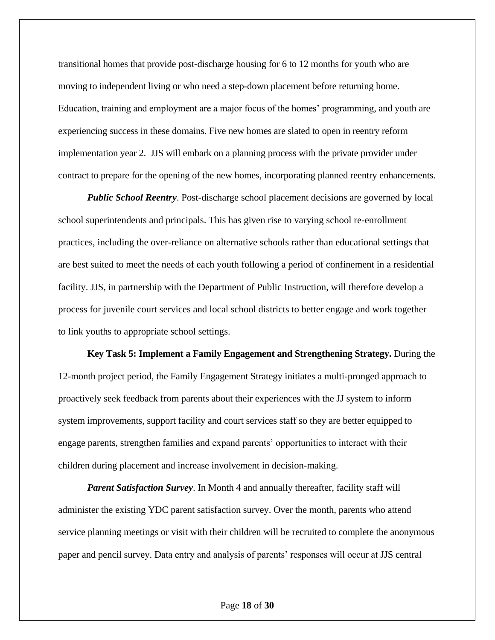transitional homes that provide post-discharge housing for 6 to 12 months for youth who are moving to independent living or who need a step-down placement before returning home. Education, training and employment are a major focus of the homes' programming, and youth are experiencing success in these domains. Five new homes are slated to open in reentry reform implementation year 2. JJS will embark on a planning process with the private provider under contract to prepare for the opening of the new homes, incorporating planned reentry enhancements.

*Public School Reentry*. Post-discharge school placement decisions are governed by local school superintendents and principals. This has given rise to varying school re-enrollment practices, including the over-reliance on alternative schools rather than educational settings that are best suited to meet the needs of each youth following a period of confinement in a residential facility. JJS, in partnership with the Department of Public Instruction, will therefore develop a process for juvenile court services and local school districts to better engage and work together to link youths to appropriate school settings.

**Key Task 5: Implement a Family Engagement and Strengthening Strategy.** During the 12-month project period, the Family Engagement Strategy initiates a multi-pronged approach to proactively seek feedback from parents about their experiences with the JJ system to inform system improvements, support facility and court services staff so they are better equipped to engage parents, strengthen families and expand parents' opportunities to interact with their children during placement and increase involvement in decision-making.

*Parent Satisfaction Survey*. In Month 4 and annually thereafter, facility staff will administer the existing YDC parent satisfaction survey. Over the month, parents who attend service planning meetings or visit with their children will be recruited to complete the anonymous paper and pencil survey. Data entry and analysis of parents' responses will occur at JJS central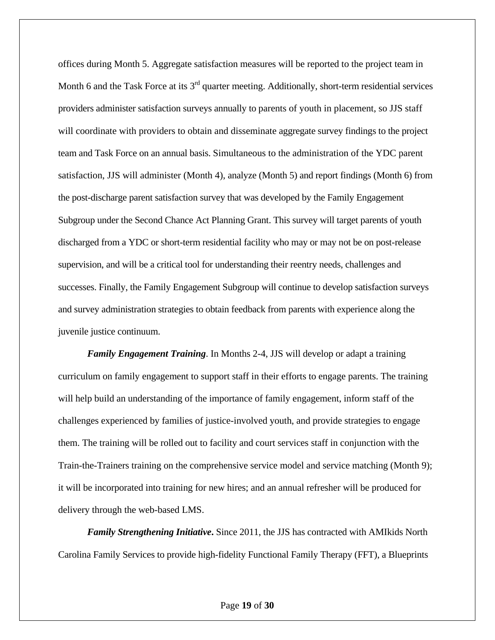offices during Month 5. Aggregate satisfaction measures will be reported to the project team in Month 6 and the Task Force at its  $3<sup>rd</sup>$  quarter meeting. Additionally, short-term residential services providers administer satisfaction surveys annually to parents of youth in placement, so JJS staff will coordinate with providers to obtain and disseminate aggregate survey findings to the project team and Task Force on an annual basis. Simultaneous to the administration of the YDC parent satisfaction, JJS will administer (Month 4), analyze (Month 5) and report findings (Month 6) from the post-discharge parent satisfaction survey that was developed by the Family Engagement Subgroup under the Second Chance Act Planning Grant. This survey will target parents of youth discharged from a YDC or short-term residential facility who may or may not be on post-release supervision, and will be a critical tool for understanding their reentry needs, challenges and successes. Finally, the Family Engagement Subgroup will continue to develop satisfaction surveys and survey administration strategies to obtain feedback from parents with experience along the juvenile justice continuum.

*Family Engagement Training*. In Months 2-4, JJS will develop or adapt a training curriculum on family engagement to support staff in their efforts to engage parents. The training will help build an understanding of the importance of family engagement, inform staff of the challenges experienced by families of justice-involved youth, and provide strategies to engage them. The training will be rolled out to facility and court services staff in conjunction with the Train-the-Trainers training on the comprehensive service model and service matching (Month 9); it will be incorporated into training for new hires; and an annual refresher will be produced for delivery through the web-based LMS.

*Family Strengthening Initiative***.** Since 2011, the JJS has contracted with AMIkids North Carolina Family Services to provide high-fidelity Functional Family Therapy (FFT), a Blueprints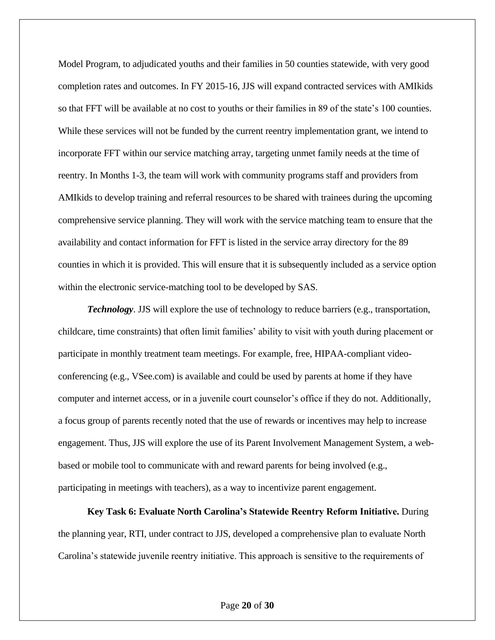Model Program, to adjudicated youths and their families in 50 counties statewide, with very good completion rates and outcomes. In FY 2015-16, JJS will expand contracted services with AMIkids so that FFT will be available at no cost to youths or their families in 89 of the state's 100 counties. While these services will not be funded by the current reentry implementation grant, we intend to incorporate FFT within our service matching array, targeting unmet family needs at the time of reentry. In Months 1-3, the team will work with community programs staff and providers from AMIkids to develop training and referral resources to be shared with trainees during the upcoming comprehensive service planning. They will work with the service matching team to ensure that the availability and contact information for FFT is listed in the service array directory for the 89 counties in which it is provided. This will ensure that it is subsequently included as a service option within the electronic service-matching tool to be developed by SAS.

*Technology*. JJS will explore the use of technology to reduce barriers (e.g., transportation, childcare, time constraints) that often limit families' ability to visit with youth during placement or participate in monthly treatment team meetings. For example, free, HIPAA-compliant videoconferencing (e.g., VSee.com) is available and could be used by parents at home if they have computer and internet access, or in a juvenile court counselor's office if they do not. Additionally, a focus group of parents recently noted that the use of rewards or incentives may help to increase engagement. Thus, JJS will explore the use of its Parent Involvement Management System, a webbased or mobile tool to communicate with and reward parents for being involved (e.g., participating in meetings with teachers), as a way to incentivize parent engagement.

**Key Task 6: Evaluate North Carolina's Statewide Reentry Reform Initiative.** During the planning year, RTI, under contract to JJS, developed a comprehensive plan to evaluate North Carolina's statewide juvenile reentry initiative. This approach is sensitive to the requirements of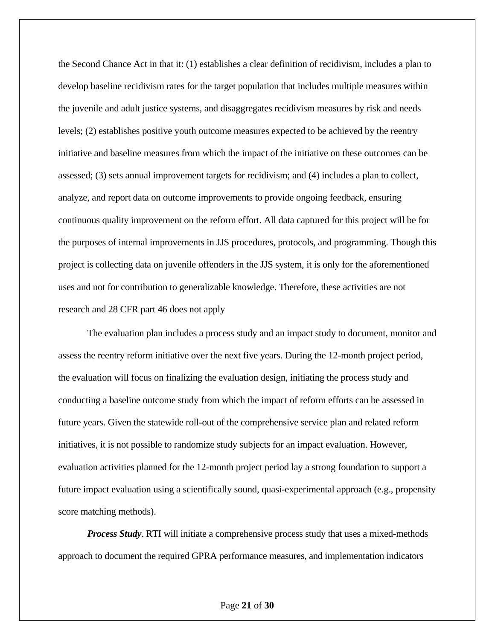the Second Chance Act in that it: (1) establishes a clear definition of recidivism, includes a plan to develop baseline recidivism rates for the target population that includes multiple measures within the juvenile and adult justice systems, and disaggregates recidivism measures by risk and needs levels; (2) establishes positive youth outcome measures expected to be achieved by the reentry initiative and baseline measures from which the impact of the initiative on these outcomes can be assessed; (3) sets annual improvement targets for recidivism; and (4) includes a plan to collect, analyze, and report data on outcome improvements to provide ongoing feedback, ensuring continuous quality improvement on the reform effort. All data captured for this project will be for the purposes of internal improvements in JJS procedures, protocols, and programming. Though this project is collecting data on juvenile offenders in the JJS system, it is only for the aforementioned uses and not for contribution to generalizable knowledge. Therefore, these activities are not research and 28 CFR part 46 does not apply

The evaluation plan includes a process study and an impact study to document, monitor and assess the reentry reform initiative over the next five years. During the 12-month project period, the evaluation will focus on finalizing the evaluation design, initiating the process study and conducting a baseline outcome study from which the impact of reform efforts can be assessed in future years. Given the statewide roll-out of the comprehensive service plan and related reform initiatives, it is not possible to randomize study subjects for an impact evaluation. However, evaluation activities planned for the 12-month project period lay a strong foundation to support a future impact evaluation using a scientifically sound, quasi-experimental approach (e.g., propensity score matching methods).

*Process Study*. RTI will initiate a comprehensive process study that uses a mixed-methods approach to document the required GPRA performance measures, and implementation indicators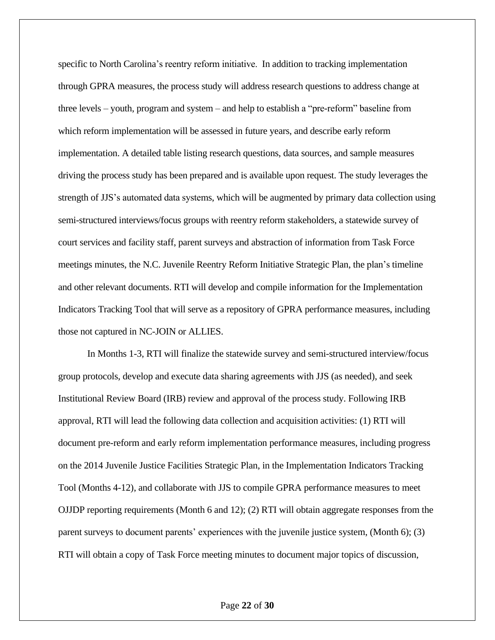specific to North Carolina's reentry reform initiative. In addition to tracking implementation through GPRA measures, the process study will address research questions to address change at three levels – youth, program and system – and help to establish a "pre-reform" baseline from which reform implementation will be assessed in future years, and describe early reform implementation. A detailed table listing research questions, data sources, and sample measures driving the process study has been prepared and is available upon request. The study leverages the strength of JJS's automated data systems, which will be augmented by primary data collection using semi-structured interviews/focus groups with reentry reform stakeholders, a statewide survey of court services and facility staff, parent surveys and abstraction of information from Task Force meetings minutes, the N.C. Juvenile Reentry Reform Initiative Strategic Plan, the plan's timeline and other relevant documents. RTI will develop and compile information for the Implementation Indicators Tracking Tool that will serve as a repository of GPRA performance measures, including those not captured in NC-JOIN or ALLIES.

In Months 1-3, RTI will finalize the statewide survey and semi-structured interview/focus group protocols, develop and execute data sharing agreements with JJS (as needed), and seek Institutional Review Board (IRB) review and approval of the process study. Following IRB approval, RTI will lead the following data collection and acquisition activities: (1) RTI will document pre-reform and early reform implementation performance measures, including progress on the 2014 Juvenile Justice Facilities Strategic Plan, in the Implementation Indicators Tracking Tool (Months 4-12), and collaborate with JJS to compile GPRA performance measures to meet OJJDP reporting requirements (Month 6 and 12); (2) RTI will obtain aggregate responses from the parent surveys to document parents' experiences with the juvenile justice system, (Month 6); (3) RTI will obtain a copy of Task Force meeting minutes to document major topics of discussion,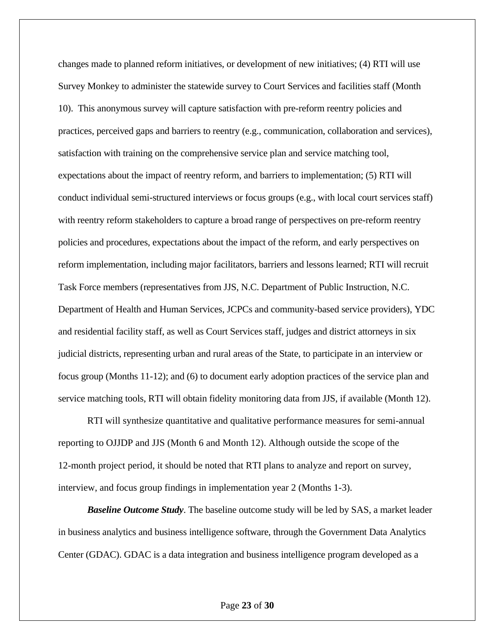changes made to planned reform initiatives, or development of new initiatives; (4) RTI will use Survey Monkey to administer the statewide survey to Court Services and facilities staff (Month 10). This anonymous survey will capture satisfaction with pre-reform reentry policies and practices, perceived gaps and barriers to reentry (e.g., communication, collaboration and services), satisfaction with training on the comprehensive service plan and service matching tool, expectations about the impact of reentry reform, and barriers to implementation; (5) RTI will conduct individual semi-structured interviews or focus groups (e.g., with local court services staff) with reentry reform stakeholders to capture a broad range of perspectives on pre-reform reentry policies and procedures, expectations about the impact of the reform, and early perspectives on reform implementation, including major facilitators, barriers and lessons learned; RTI will recruit Task Force members (representatives from JJS, N.C. Department of Public Instruction, N.C. Department of Health and Human Services, JCPCs and community-based service providers), YDC and residential facility staff, as well as Court Services staff, judges and district attorneys in six judicial districts, representing urban and rural areas of the State, to participate in an interview or focus group (Months 11-12); and (6) to document early adoption practices of the service plan and service matching tools, RTI will obtain fidelity monitoring data from JJS, if available (Month 12).

RTI will synthesize quantitative and qualitative performance measures for semi-annual reporting to OJJDP and JJS (Month 6 and Month 12). Although outside the scope of the 12-month project period, it should be noted that RTI plans to analyze and report on survey, interview, and focus group findings in implementation year 2 (Months 1-3).

*Baseline Outcome Study*. The baseline outcome study will be led by SAS, a market leader in business analytics and business intelligence software, through the Government Data Analytics Center (GDAC). GDAC is a data integration and business intelligence program developed as a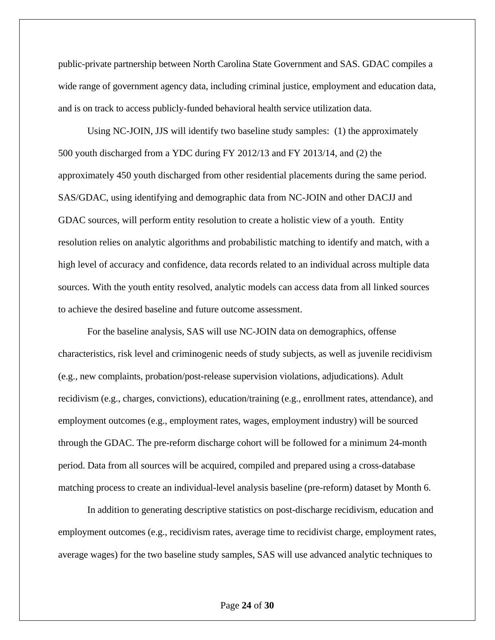public-private partnership between North Carolina State Government and SAS. GDAC compiles a wide range of government agency data, including criminal justice, employment and education data, and is on track to access publicly-funded behavioral health service utilization data.

Using NC-JOIN, JJS will identify two baseline study samples: (1) the approximately 500 youth discharged from a YDC during FY 2012/13 and FY 2013/14, and (2) the approximately 450 youth discharged from other residential placements during the same period. SAS/GDAC, using identifying and demographic data from NC-JOIN and other DACJJ and GDAC sources, will perform entity resolution to create a holistic view of a youth. Entity resolution relies on analytic algorithms and probabilistic matching to identify and match, with a high level of accuracy and confidence, data records related to an individual across multiple data sources. With the youth entity resolved, analytic models can access data from all linked sources to achieve the desired baseline and future outcome assessment.

For the baseline analysis, SAS will use NC-JOIN data on demographics, offense characteristics, risk level and criminogenic needs of study subjects, as well as juvenile recidivism (e.g., new complaints, probation/post-release supervision violations, adjudications). Adult recidivism (e.g., charges, convictions), education/training (e.g., enrollment rates, attendance), and employment outcomes (e.g., employment rates, wages, employment industry) will be sourced through the GDAC. The pre-reform discharge cohort will be followed for a minimum 24-month period. Data from all sources will be acquired, compiled and prepared using a cross-database matching process to create an individual-level analysis baseline (pre-reform) dataset by Month 6.

In addition to generating descriptive statistics on post-discharge recidivism, education and employment outcomes (e.g., recidivism rates, average time to recidivist charge, employment rates, average wages) for the two baseline study samples, SAS will use advanced analytic techniques to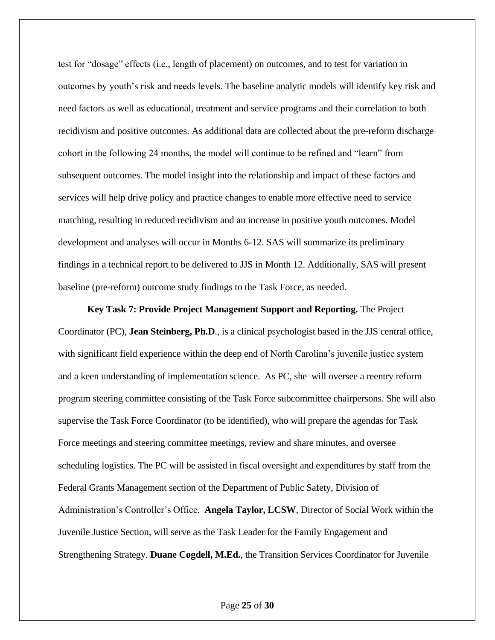test for "dosage" effects (i.e., length of placement) on outcomes, and to test for variation in outcomes by youth's risk and needs levels. The baseline analytic models will identify key risk and need factors as well as educational, treatment and service programs and their correlation to both recidivism and positive outcomes. As additional data are collected about the pre-reform discharge cohort in the following 24 months, the model will continue to be refined and "learn" from subsequent outcomes. The model insight into the relationship and impact of these factors and services will help drive policy and practice changes to enable more effective need to service matching, resulting in reduced recidivism and an increase in positive youth outcomes. Model development and analyses will occur in Months 6-12. SAS will summarize its preliminary findings in a technical report to be delivered to JJS in Month 12. Additionally, SAS will present baseline (pre-reform) outcome study findings to the Task Force, as needed.

**Key Task 7: Provide Project Management Support and Reporting.** The Project Coordinator (PC), **Jean Steinberg, Ph.D**., is a clinical psychologist based in the JJS central office, with significant field experience within the deep end of North Carolina's juvenile justice system and a keen understanding of implementation science. As PC, she will oversee a reentry reform program steering committee consisting of the Task Force subcommittee chairpersons. She will also supervise the Task Force Coordinator (to be identified), who will prepare the agendas for Task Force meetings and steering committee meetings, review and share minutes, and oversee scheduling logistics. The PC will be assisted in fiscal oversight and expenditures by staff from the Federal Grants Management section of the Department of Public Safety, Division of Administration's Controller's Office. **Angela Taylor, LCSW**, Director of Social Work within the Juvenile Justice Section, will serve as the Task Leader for the Family Engagement and Strengthening Strategy. **Duane Cogdell, M.Ed.**, the Transition Services Coordinator for Juvenile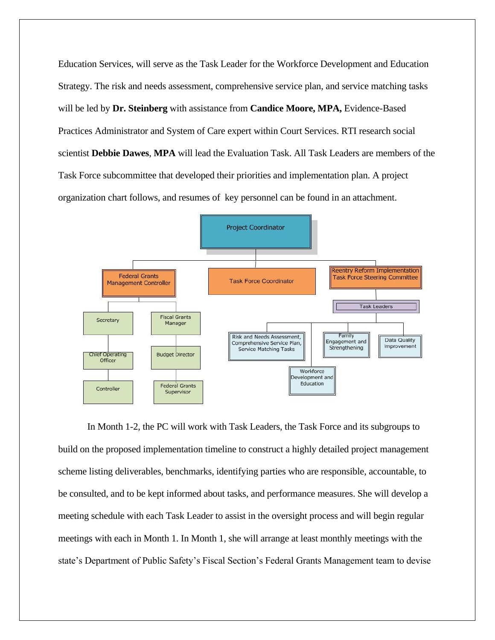Education Services, will serve as the Task Leader for the Workforce Development and Education Strategy. The risk and needs assessment, comprehensive service plan, and service matching tasks will be led by **Dr. Steinberg** with assistance from **Candice Moore, MPA,** Evidence-Based Practices Administrator and System of Care expert within Court Services. RTI research social scientist **Debbie Dawes**, **MPA** will lead the Evaluation Task. All Task Leaders are members of the Task Force subcommittee that developed their priorities and implementation plan. A project organization chart follows, and resumes of key personnel can be found in an attachment.



In Month 1-2, the PC will work with Task Leaders, the Task Force and its subgroups to build on the proposed implementation timeline to construct a highly detailed project management scheme listing deliverables, benchmarks, identifying parties who are responsible, accountable, to be consulted, and to be kept informed about tasks, and performance measures. She will develop a meeting schedule with each Task Leader to assist in the oversight process and will begin regular meetings with each in Month 1. In Month 1, she will arrange at least monthly meetings with the state's Department of Public Safety's Fiscal Section's Federal Grants Management team to devise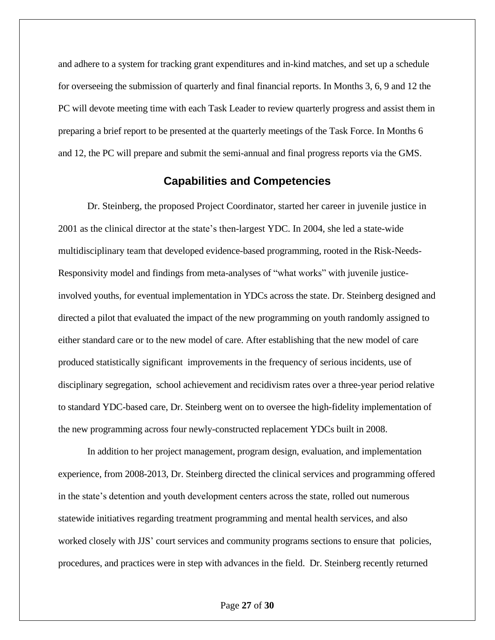and adhere to a system for tracking grant expenditures and in-kind matches, and set up a schedule for overseeing the submission of quarterly and final financial reports. In Months 3, 6, 9 and 12 the PC will devote meeting time with each Task Leader to review quarterly progress and assist them in preparing a brief report to be presented at the quarterly meetings of the Task Force. In Months 6 and 12, the PC will prepare and submit the semi-annual and final progress reports via the GMS.

# **Capabilities and Competencies**

Dr. Steinberg, the proposed Project Coordinator, started her career in juvenile justice in 2001 as the clinical director at the state's then-largest YDC. In 2004, she led a state-wide multidisciplinary team that developed evidence-based programming, rooted in the Risk-Needs-Responsivity model and findings from meta-analyses of "what works" with juvenile justiceinvolved youths, for eventual implementation in YDCs across the state. Dr. Steinberg designed and directed a pilot that evaluated the impact of the new programming on youth randomly assigned to either standard care or to the new model of care. After establishing that the new model of care produced statistically significant improvements in the frequency of serious incidents, use of disciplinary segregation, school achievement and recidivism rates over a three-year period relative to standard YDC-based care, Dr. Steinberg went on to oversee the high-fidelity implementation of the new programming across four newly-constructed replacement YDCs built in 2008.

In addition to her project management, program design, evaluation, and implementation experience, from 2008-2013, Dr. Steinberg directed the clinical services and programming offered in the state's detention and youth development centers across the state, rolled out numerous statewide initiatives regarding treatment programming and mental health services, and also worked closely with JJS' court services and community programs sections to ensure that policies, procedures, and practices were in step with advances in the field. Dr. Steinberg recently returned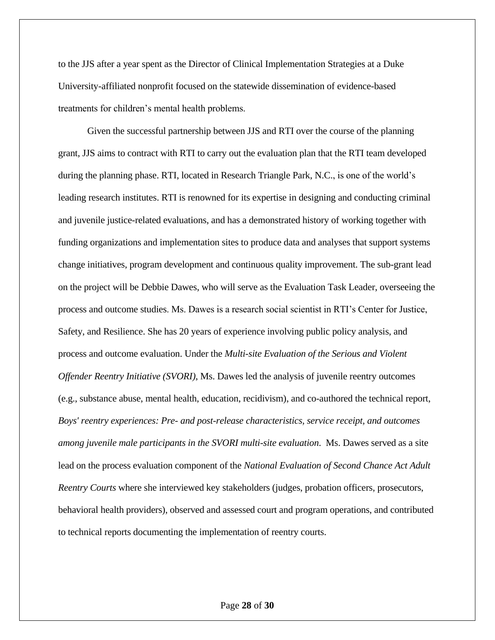to the JJS after a year spent as the Director of Clinical Implementation Strategies at a Duke University-affiliated nonprofit focused on the statewide dissemination of evidence-based treatments for children's mental health problems.

Given the successful partnership between JJS and RTI over the course of the planning grant, JJS aims to contract with RTI to carry out the evaluation plan that the RTI team developed during the planning phase. RTI, located in Research Triangle Park, N.C., is one of the world's leading research institutes. RTI is renowned for its expertise in designing and conducting criminal and juvenile justice-related evaluations, and has a demonstrated history of working together with funding organizations and implementation sites to produce data and analyses that support systems change initiatives, program development and continuous quality improvement. The sub-grant lead on the project will be Debbie Dawes, who will serve as the Evaluation Task Leader, overseeing the process and outcome studies. Ms. Dawes is a research social scientist in RTI's Center for Justice, Safety, and Resilience. She has 20 years of experience involving public policy analysis, and process and outcome evaluation. Under the *Multi-site Evaluation of the Serious and Violent Offender Reentry Initiative (SVORI)*, Ms. Dawes led the analysis of juvenile reentry outcomes (e.g., substance abuse, mental health, education, recidivism), and co-authored the technical report, *Boys' reentry experiences: Pre- and post-release characteristics, service receipt, and outcomes among juvenile male participants in the SVORI multi-site evaluation*. Ms. Dawes served as a site lead on the process evaluation component of the *National Evaluation of Second Chance Act Adult Reentry Courts* where she interviewed key stakeholders (judges, probation officers, prosecutors, behavioral health providers), observed and assessed court and program operations, and contributed to technical reports documenting the implementation of reentry courts.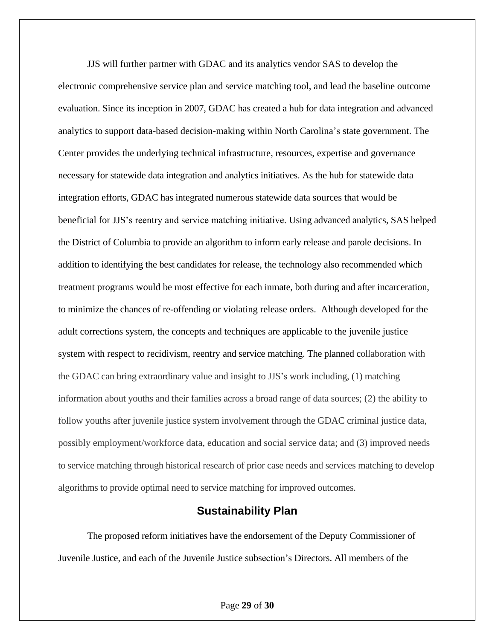JJS will further partner with GDAC and its analytics vendor SAS to develop the electronic comprehensive service plan and service matching tool, and lead the baseline outcome evaluation. Since its inception in 2007, GDAC has created a hub for data integration and advanced analytics to support data-based decision-making within North Carolina's state government. The Center provides the underlying technical infrastructure, resources, expertise and governance necessary for statewide data integration and analytics initiatives. As the hub for statewide data integration efforts, GDAC has integrated numerous statewide data sources that would be beneficial for JJS's reentry and service matching initiative. Using advanced analytics, SAS helped the District of Columbia to provide an algorithm to inform early release and parole decisions. In addition to identifying the best candidates for release, the technology also recommended which treatment programs would be most effective for each inmate, both during and after incarceration, to minimize the chances of re-offending or violating release orders. Although developed for the adult corrections system, the concepts and techniques are applicable to the juvenile justice system with respect to recidivism, reentry and service matching. The planned collaboration with the GDAC can bring extraordinary value and insight to JJS's work including, (1) matching information about youths and their families across a broad range of data sources; (2) the ability to follow youths after juvenile justice system involvement through the GDAC criminal justice data, possibly employment/workforce data, education and social service data; and (3) improved needs to service matching through historical research of prior case needs and services matching to develop algorithms to provide optimal need to service matching for improved outcomes.

## **Sustainability Plan**

The proposed reform initiatives have the endorsement of the Deputy Commissioner of Juvenile Justice, and each of the Juvenile Justice subsection's Directors. All members of the